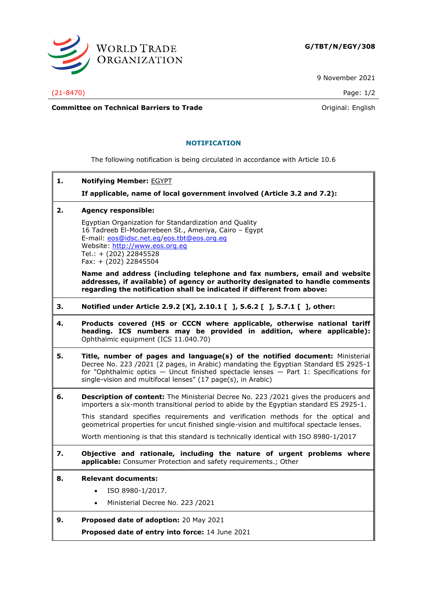

9 November 2021

(21-8470) Page: 1/2

**Committee on Technical Barriers to Trade Committee on Technical Barriers to Trade Original:** English

## **NOTIFICATION**

The following notification is being circulated in accordance with Article 10.6

**1. Notifying Member:** EGYPT

**If applicable, name of local government involved (Article 3.2 and 7.2):**

**2. Agency responsible:**

Egyptian Organization for Standardization and Quality 16 Tadreeb El-Modarrebeen St., Ameriya, Cairo – Egypt E-mail: [eos@idsc.net.eg](mailto:eos@idsc.net.eg)[/eos.tbt@eos.org.eg](mailto:eos.tbt@eos.org.eg) Website: [http://www.eos.org.eg](http://www.eos.org.eg/) Tel.: + (202) 22845528 Fax: + (202) 22845504

**Name and address (including telephone and fax numbers, email and website addresses, if available) of agency or authority designated to handle comments regarding the notification shall be indicated if different from above:**

- **3. Notified under Article 2.9.2 [X], 2.10.1 [ ], 5.6.2 [ ], 5.7.1 [ ], other:**
- **4. Products covered (HS or CCCN where applicable, otherwise national tariff heading. ICS numbers may be provided in addition, where applicable):** Ophthalmic equipment (ICS 11.040.70)
- **5. Title, number of pages and language(s) of the notified document:** Ministerial Decree No. 223 /2021 (2 pages, in Arabic) mandating the Egyptian Standard ES 2925-1 for "Ophthalmic optics — Uncut finished spectacle lenses — Part 1: Specifications for single-vision and multifocal lenses" (17 page(s), in Arabic)
- **6. Description of content:** The Ministerial Decree No. 223 /2021 gives the producers and importers a six-month transitional period to abide by the Egyptian standard ES 2925-1.

This standard specifies requirements and verification methods for the optical and geometrical properties for uncut finished single-vision and multifocal spectacle lenses.

Worth mentioning is that this standard is technically identical with ISO 8980-1/2017

- **7. Objective and rationale, including the nature of urgent problems where applicable:** Consumer Protection and safety requirements.; Other
- **8. Relevant documents:**
	- ISO 8980-1/2017.
	- Ministerial Decree No. 223 /2021
- **9. Proposed date of adoption:** 20 May 2021 **Proposed date of entry into force:** 14 June 2021